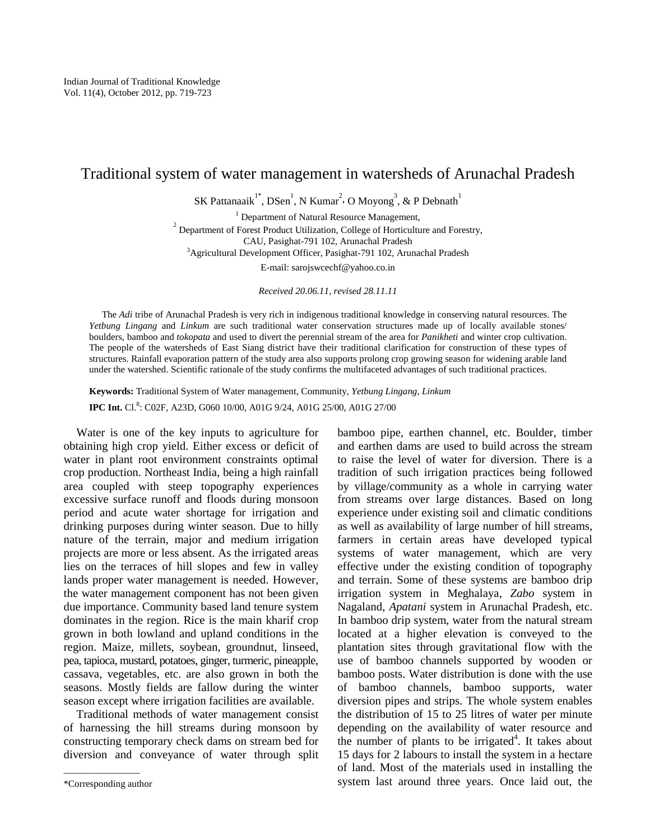# Traditional system of water management in watersheds of Arunachal Pradesh

SK Pattanaaik<sup>1\*</sup>, DSen<sup>1</sup>, N Kumar<sup>2</sup>, O Moyong<sup>3</sup>, & P Debnath<sup>1</sup>

<sup>1</sup> Department of Natural Resource Management,

 $2^{2}$  Department of Forest Product Utilization, College of Horticulture and Forestry, CAU, Pasighat-791 102, Arunachal Pradesh

<sup>3</sup>Agricultural Development Officer, Pasighat-791 102, Arunachal Pradesh

E-mail: sarojswcechf@yahoo.co.in

*Received 20.06.11, revised 28.11.11* 

The *Adi* tribe of Arunachal Pradesh is very rich in indigenous traditional knowledge in conserving natural resources. The *Yetbung Lingang* and *Linkum* are such traditional water conservation structures made up of locally available stones/ boulders, bamboo and *tokopata* and used to divert the perennial stream of the area for *Panikheti* and winter crop cultivation. The people of the watersheds of East Siang district have their traditional clarification for construction of these types of structures. Rainfall evaporation pattern of the study area also supports prolong crop growing season for widening arable land under the watershed. Scientific rationale of the study confirms the multifaceted advantages of such traditional practices.

**Keywords:** Traditional System of Water management, Community, *Yetbung Lingang*, *Linkum*  **IPC Int.** Cl.<sup>8</sup>: C02F, A23D, G060 10/00, A01G 9/24, A01G 25/00, A01G 27/00

Water is one of the key inputs to agriculture for obtaining high crop yield. Either excess or deficit of water in plant root environment constraints optimal crop production. Northeast India, being a high rainfall area coupled with steep topography experiences excessive surface runoff and floods during monsoon period and acute water shortage for irrigation and drinking purposes during winter season. Due to hilly nature of the terrain, major and medium irrigation projects are more or less absent. As the irrigated areas lies on the terraces of hill slopes and few in valley lands proper water management is needed. However, the water management component has not been given due importance. Community based land tenure system dominates in the region. Rice is the main kharif crop grown in both lowland and upland conditions in the region. Maize, millets, soybean, groundnut, linseed, pea, tapioca, mustard, potatoes, ginger, turmeric, pineapple, cassava, vegetables, etc. are also grown in both the seasons. Mostly fields are fallow during the winter season except where irrigation facilities are available.

Traditional methods of water management consist of harnessing the hill streams during monsoon by constructing temporary check dams on stream bed for diversion and conveyance of water through split bamboo pipe, earthen channel, etc. Boulder, timber and earthen dams are used to build across the stream to raise the level of water for diversion. There is a tradition of such irrigation practices being followed by village/community as a whole in carrying water from streams over large distances. Based on long experience under existing soil and climatic conditions as well as availability of large number of hill streams, farmers in certain areas have developed typical systems of water management, which are very effective under the existing condition of topography and terrain. Some of these systems are bamboo drip irrigation system in Meghalaya, *Zabo* system in Nagaland, *Apatani* system in Arunachal Pradesh, etc. In bamboo drip system, water from the natural stream located at a higher elevation is conveyed to the plantation sites through gravitational flow with the use of bamboo channels supported by wooden or bamboo posts. Water distribution is done with the use of bamboo channels, bamboo supports, water diversion pipes and strips. The whole system enables the distribution of 15 to 25 litres of water per minute depending on the availability of water resource and the number of plants to be irrigated<sup>4</sup>. It takes about 15 days for 2 labours to install the system in a hectare of land. Most of the materials used in installing the system last around three years. Once laid out, the

<sup>————————</sup> \*Corresponding author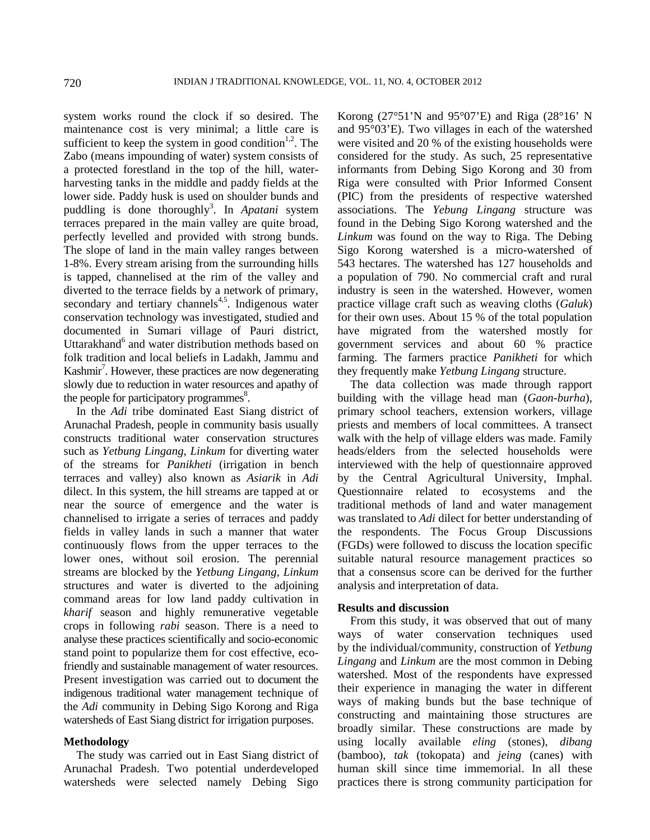system works round the clock if so desired. The maintenance cost is very minimal; a little care is sufficient to keep the system in good condition<sup>1,2</sup>. The Zabo (means impounding of water) system consists of a protected forestland in the top of the hill, waterharvesting tanks in the middle and paddy fields at the lower side. Paddy husk is used on shoulder bunds and puddling is done thoroughly<sup>3</sup>. In *Apatani* system terraces prepared in the main valley are quite broad, perfectly levelled and provided with strong bunds. The slope of land in the main valley ranges between 1-8%. Every stream arising from the surrounding hills is tapped, channelised at the rim of the valley and diverted to the terrace fields by a network of primary, secondary and tertiary channels<sup>4,5</sup>. Indigenous water conservation technology was investigated, studied and documented in Sumari village of Pauri district, Uttarakhand<sup>6</sup> and water distribution methods based on folk tradition and local beliefs in Ladakh, Jammu and Kashmir<sup>7</sup>. However, these practices are now degenerating slowly due to reduction in water resources and apathy of the people for participatory programmes $8$ .

In the *Adi* tribe dominated East Siang district of Arunachal Pradesh, people in community basis usually constructs traditional water conservation structures such as *Yetbung Lingang*, *Linkum* for diverting water of the streams for *Panikheti* (irrigation in bench terraces and valley) also known as *Asiarik* in *Adi*  dilect. In this system, the hill streams are tapped at or near the source of emergence and the water is channelised to irrigate a series of terraces and paddy fields in valley lands in such a manner that water continuously flows from the upper terraces to the lower ones, without soil erosion. The perennial streams are blocked by the *Yetbung Lingang*, *Linkum* structures and water is diverted to the adjoining command areas for low land paddy cultivation in *kharif* season and highly remunerative vegetable crops in following *rabi* season. There is a need to analyse these practices scientifically and socio-economic stand point to popularize them for cost effective, ecofriendly and sustainable management of water resources. Present investigation was carried out to document the indigenous traditional water management technique of the *Adi* community in Debing Sigo Korong and Riga watersheds of East Siang district for irrigation purposes.

# **Methodology**

The study was carried out in East Siang district of Arunachal Pradesh. Two potential underdeveloped watersheds were selected namely Debing Sigo Korong  $(27°51'N$  and  $95°07'E)$  and Riga  $(28°16'N)$ and 95°03'E). Two villages in each of the watershed were visited and 20 % of the existing households were considered for the study. As such, 25 representative informants from Debing Sigo Korong and 30 from Riga were consulted with Prior Informed Consent (PIC) from the presidents of respective watershed associations. The *Yebung Lingang* structure was found in the Debing Sigo Korong watershed and the *Linkum* was found on the way to Riga. The Debing Sigo Korong watershed is a micro-watershed of 543 hectares. The watershed has 127 households and a population of 790. No commercial craft and rural industry is seen in the watershed. However, women practice village craft such as weaving cloths (*Galuk*) for their own uses. About 15 % of the total population have migrated from the watershed mostly for government services and about 60 % practice farming. The farmers practice *Panikheti* for which they frequently make *Yetbung Lingang* structure.

The data collection was made through rapport building with the village head man (*Gaon-burha*), primary school teachers, extension workers, village priests and members of local committees. A transect walk with the help of village elders was made. Family heads/elders from the selected households were interviewed with the help of questionnaire approved by the Central Agricultural University, Imphal. Questionnaire related to ecosystems and the traditional methods of land and water management was translated to *Adi* dilect for better understanding of the respondents. The Focus Group Discussions (FGDs) were followed to discuss the location specific suitable natural resource management practices so that a consensus score can be derived for the further analysis and interpretation of data.

### **Results and discussion**

From this study, it was observed that out of many ways of water conservation techniques used by the individual/community, construction of *Yetbung Lingang* and *Linkum* are the most common in Debing watershed. Most of the respondents have expressed their experience in managing the water in different ways of making bunds but the base technique of constructing and maintaining those structures are broadly similar. These constructions are made by using locally available *eling* (stones), *dibang* (bamboo), *tak* (tokopata) and *jeing* (canes) with human skill since time immemorial. In all these practices there is strong community participation for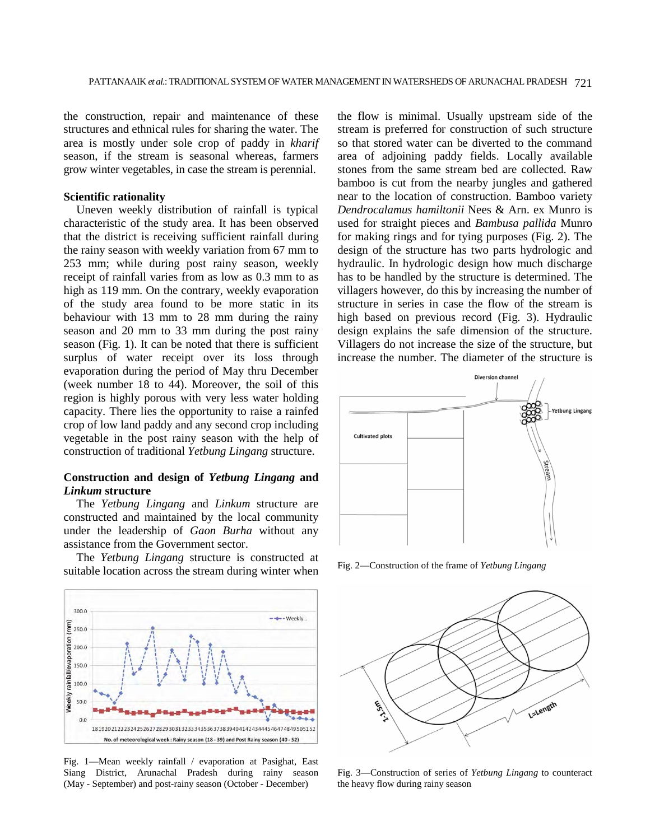the construction, repair and maintenance of these structures and ethnical rules for sharing the water. The area is mostly under sole crop of paddy in *kharif* season, if the stream is seasonal whereas, farmers grow winter vegetables, in case the stream is perennial.

#### **Scientific rationality**

Uneven weekly distribution of rainfall is typical characteristic of the study area. It has been observed that the district is receiving sufficient rainfall during the rainy season with weekly variation from 67 mm to 253 mm; while during post rainy season, weekly receipt of rainfall varies from as low as 0.3 mm to as high as 119 mm. On the contrary, weekly evaporation of the study area found to be more static in its behaviour with 13 mm to 28 mm during the rainy season and 20 mm to 33 mm during the post rainy season (Fig. 1). It can be noted that there is sufficient surplus of water receipt over its loss through evaporation during the period of May thru December (week number 18 to 44). Moreover, the soil of this region is highly porous with very less water holding capacity. There lies the opportunity to raise a rainfed crop of low land paddy and any second crop including vegetable in the post rainy season with the help of construction of traditional *Yetbung Lingang* structure.

# **Construction and design of** *Yetbung Lingang* **and**  *Linkum* **structure**

The *Yetbung Lingang* and *Linkum* structure are constructed and maintained by the local community under the leadership of *Gaon Burha* without any assistance from the Government sector.

The *Yetbung Lingang* structure is constructed at suitable location across the stream during winter when



Fig. 1—Mean weekly rainfall / evaporation at Pasighat, East Siang District, Arunachal Pradesh during rainy season (May - September) and post-rainy season (October - December)

the flow is minimal. Usually upstream side of the stream is preferred for construction of such structure so that stored water can be diverted to the command area of adjoining paddy fields. Locally available stones from the same stream bed are collected. Raw bamboo is cut from the nearby jungles and gathered near to the location of construction. Bamboo variety *Dendrocalamus hamiltonii* Nees & Arn. ex Munro is used for straight pieces and *Bambusa pallida* Munro for making rings and for tying purposes (Fig. 2). The design of the structure has two parts hydrologic and hydraulic. In hydrologic design how much discharge has to be handled by the structure is determined. The villagers however, do this by increasing the number of structure in series in case the flow of the stream is high based on previous record (Fig. 3). Hydraulic design explains the safe dimension of the structure. Villagers do not increase the size of the structure, but increase the number. The diameter of the structure is



Fig. 2—Construction of the frame of *Yetbung Lingang* 



Fig. 3—Construction of series of *Yetbung Lingang* to counteract the heavy flow during rainy season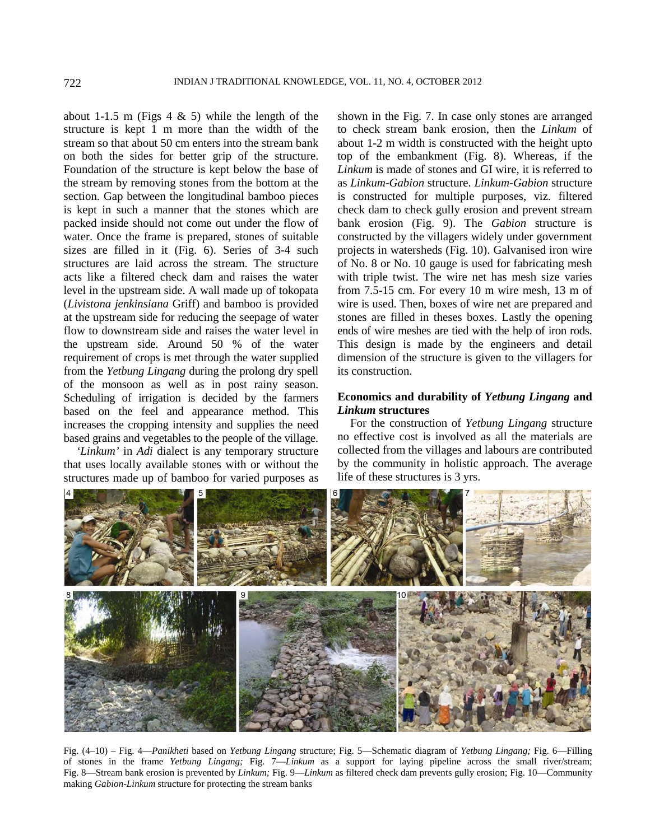about 1-1.5 m (Figs 4  $\&$  5) while the length of the structure is kept 1 m more than the width of the stream so that about 50 cm enters into the stream bank on both the sides for better grip of the structure. Foundation of the structure is kept below the base of the stream by removing stones from the bottom at the section. Gap between the longitudinal bamboo pieces is kept in such a manner that the stones which are packed inside should not come out under the flow of water. Once the frame is prepared, stones of suitable sizes are filled in it (Fig. 6). Series of 3-4 such structures are laid across the stream. The structure acts like a filtered check dam and raises the water level in the upstream side. A wall made up of tokopata (*Livistona jenkinsiana* Griff) and bamboo is provided at the upstream side for reducing the seepage of water flow to downstream side and raises the water level in the upstream side. Around 50 % of the water requirement of crops is met through the water supplied from the *Yetbung Lingang* during the prolong dry spell of the monsoon as well as in post rainy season. Scheduling of irrigation is decided by the farmers based on the feel and appearance method. This increases the cropping intensity and supplies the need based grains and vegetables to the people of the village.

*'Linkum'* in *Adi* dialect is any temporary structure that uses locally available stones with or without the structures made up of bamboo for varied purposes as

shown in the Fig. 7. In case only stones are arranged to check stream bank erosion, then the *Linkum* of about 1-2 m width is constructed with the height upto top of the embankment (Fig. 8). Whereas, if the *Linkum* is made of stones and GI wire, it is referred to as *Linkum*-*Gabion* structure. *Linkum-Gabion* structure is constructed for multiple purposes, viz. filtered check dam to check gully erosion and prevent stream bank erosion (Fig. 9). The *Gabion* structure is constructed by the villagers widely under government projects in watersheds (Fig. 10). Galvanised iron wire of No. 8 or No. 10 gauge is used for fabricating mesh with triple twist. The wire net has mesh size varies from 7.5-15 cm. For every 10 m wire mesh, 13 m of wire is used. Then, boxes of wire net are prepared and stones are filled in theses boxes. Lastly the opening ends of wire meshes are tied with the help of iron rods. This design is made by the engineers and detail dimension of the structure is given to the villagers for its construction.

# **Economics and durability of** *Yetbung Lingang* **and**  *Linkum* **structures**

For the construction of *Yetbung Lingang* structure no effective cost is involved as all the materials are collected from the villages and labours are contributed by the community in holistic approach. The average life of these structures is 3 yrs.



Fig. (4–10) – Fig. 4—*Panikheti* based on *Yetbung Lingang* structure; Fig. 5—Schematic diagram of *Yetbung Lingang;* Fig. 6—Filling of stones in the frame *Yetbung Lingang;* Fig. 7—*Linkum* as a support for laying pipeline across the small river/stream; Fig. 8—Stream bank erosion is prevented by *Linkum;* Fig. 9—*Linkum* as filtered check dam prevents gully erosion; Fig. 10—Community making *Gabion-Linkum* structure for protecting the stream banks